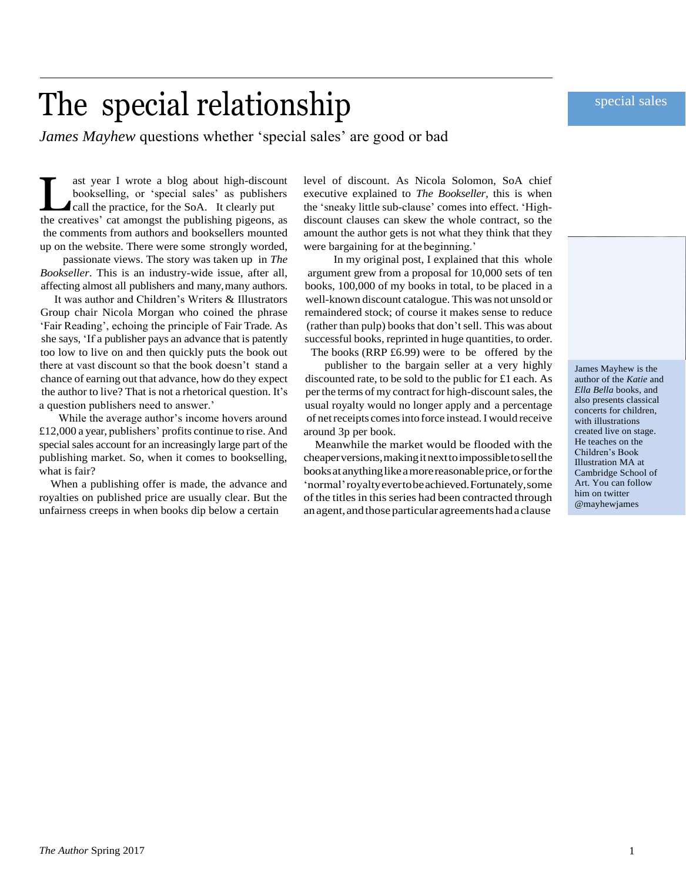### special sales

# The special relationship

*James Mayhew* questions whether 'special sales' are good or bad

ast year I wrote a blog about high-discount bookselling, or 'special sales' as publishers call the practice, for the SoA. It clearly put the creatives' cat amongst the publishing pigeons, as ast year I wrote a blog about high-discount bookselling, or 'special sales' as publishers call the practice, for the SoA. It clearly put the comments from authors and booksellers mounted up on the website. There were some strongly worded,

passionate views. The story was taken up in *The Bookseller*. This is an industry-wide issue, after all, affecting almost all publishers and many,many authors.

It was author and Children's Writers & Illustrators Group chair Nicola Morgan who coined the phrase 'Fair Reading', echoing the principle of Fair Trade. As she says, 'If a publisher pays an advance that is patently too low to live on and then quickly puts the book out there at vast discount so that the book doesn't stand a chance of earning out that advance, how do they expect the author to live? That is not a rhetorical question. It's a question publishers need to answer.'

While the average author's income hovers around £12,000 a year, publishers' profits continue to rise. And special sales account for an increasingly large part of the publishing market. So, when it comes to bookselling, what is fair?

When a publishing offer is made, the advance and royalties on published price are usually clear. But the unfairness creeps in when books dip below a certain

level of discount. As Nicola Solomon, SoA chief executive explained to *The Bookseller,* this is when the 'sneaky little sub-clause' comes into effect. 'Highdiscount clauses can skew the whole contract, so the amount the author gets is not what they think that they were bargaining for at the beginning.'

In my original post, I explained that this whole argument grew from a proposal for 10,000 sets of ten books, 100,000 of my books in total, to be placed in a well-known discount catalogue. This was not unsold or remaindered stock; of course it makes sense to reduce (rather than pulp) books that don't sell. This was about successful books, reprinted in huge quantities, to order.

The books (RRP £6.99) were to be offered by the

publisher to the bargain seller at a very highly discounted rate, to be sold to the public for £1 each. As per the terms of my contract for high-discount sales, the usual royalty would no longer apply and a percentage of netreceipts comesinto force instead.Iwould receive around 3p per book.

Meanwhile the market would be flooded with the cheaperversions,makingitnexttoimpossibletosellthe booksatanythinglikeamorereasonableprice,orforthe 'normal'royaltyevertobeachieved.Fortunately,some of the titles in this series had been contracted through an agent, and those particular agreements had a clause

James Mayhew is the author of the *Katie* and *Ella Bella* books, and also presents classical concerts for children, with illustrations created live on stage. He teaches on the Children's Book Illustration MA at Cambridge School of Art. You can follow him on twitter @mayhewjames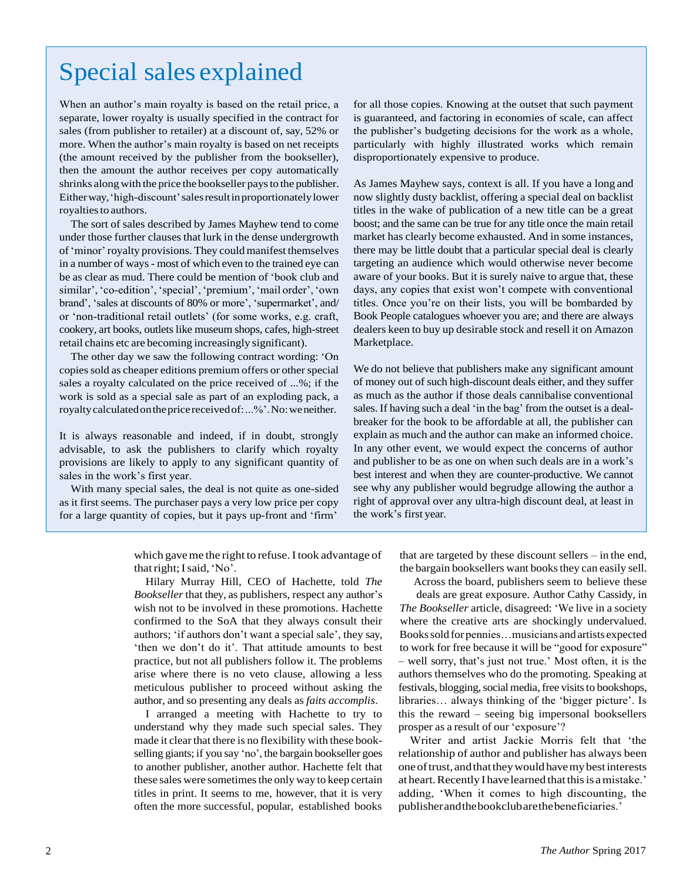## Special sales explained

When an author's main royalty is based on the retail price, a separate, lower royalty is usually specified in the contract for sales (from publisher to retailer) at a discount of, say, 52% or more. When the author's main royalty is based on net receipts (the amount received by the publisher from the bookseller), then the amount the author receives per copy automatically shrinks along with the price the bookseller pays to the publisher. Eitherway,'high-discount'salesresultinproportionatelylower royalties to authors.

The sort of sales described by James Mayhew tend to come under those further clauses that lurk in the dense undergrowth of'minor'royalty provisions. They couldmanifest themselves in a number of ways- most of which even to the trained eye can be as clear as mud. There could be mention of 'book club and similar', 'co-edition', 'special', 'premium', 'mail order', 'own brand', 'sales at discounts of 80% or more', 'supermarket', and/ or 'non-traditional retail outlets' (for some works, e.g. craft, cookery, art books, outlets like museum shops, cafes, high-street retail chains etc are becoming increasingly significant).

The other day we saw the following contract wording: 'On copies sold as cheaper editions premium offers or other special sales a royalty calculated on the price received of ...%; if the work is sold as a special sale as part of an exploding pack, a royaltycalculatedonthepricereceivedof:...%'.No:weneither.

It is always reasonable and indeed, if in doubt, strongly advisable, to ask the publishers to clarify which royalty provisions are likely to apply to any significant quantity of sales in the work's first year.

With many special sales, the deal is not quite as one-sided as it first seems. The purchaser pays a very low price per copy for a large quantity of copies, but it pays up-front and 'firm'

for all those copies. Knowing at the outset that such payment is guaranteed, and factoring in economies of scale, can affect the publisher's budgeting decisions for the work as a whole, particularly with highly illustrated works which remain disproportionately expensive to produce.

As James Mayhew says, context is all. If you have a long and now slightly dusty backlist, offering a special deal on backlist titles in the wake of publication of a new title can be a great boost; and the same can be true for any title once the main retail market has clearly become exhausted. And in some instances, there may be little doubt that a particular special deal is clearly targeting an audience which would otherwise never become aware of your books. But it is surely naive to argue that, these days, any copies that exist won't compete with conventional titles. Once you're on their lists, you will be bombarded by Book People catalogues whoever you are; and there are always dealers keen to buy up desirable stock and resell it on Amazon Marketplace.

We do not believe that publishers make any significant amount of money out of such high-discount deals either, and they suffer as much as the author if those deals cannibalise conventional sales. If having such a deal 'in the bag' from the outset is a dealbreaker for the book to be affordable at all, the publisher can explain as much and the author can make an informed choice. In any other event, we would expect the concerns of author and publisher to be as one on when such deals are in a work's best interest and when they are counter-productive. We cannot see why any publisher would begrudge allowing the author a right of approval over any ultra-high discount deal, at least in the work's first year.

which gave me the right to refuse. I took advantage of thatright;Isaid,'No'.

Hilary Murray Hill, CEO of Hachette, told *The Bookseller* that they, as publishers, respect any author's wish not to be involved in these promotions. Hachette confirmed to the SoA that they always consult their authors; 'if authors don't want a special sale', they say, 'then we don't do it'. That attitude amounts to best practice, but not all publishers follow it. The problems arise where there is no veto clause, allowing a less meticulous publisher to proceed without asking the author, and so presenting any deals as *faits accomplis*.

I arranged a meeting with Hachette to try to understand why they made such special sales. They made it clear that there is no flexibility with these bookselling giants; if you say 'no', the bargain bookseller goes to another publisher, another author. Hachette felt that these sales were sometimes the only way to keep certain titles in print. It seems to me, however, that it is very often the more successful, popular, established books

that are targeted by these discount sellers – in the end, the bargain booksellers want books they can easily sell.

Across the board, publishers seem to believe these deals are great exposure. Author Cathy Cassidy, in *The Bookseller* article, disagreed: 'We live in a society where the creative arts are shockingly undervalued. Bookssoldfor pennies…musicians andartists expected to work for free because it will be "good for exposure" – well sorry, that's just not true.' Most often, it is the authors themselves who do the promoting. Speaking at festivals, blogging, social media, free visits to bookshops, libraries… always thinking of the 'bigger picture'. Is this the reward – seeing big impersonal booksellers prosper as a result of our 'exposure'?

Writer and artist Jackie Morris felt that 'the relationship of author and publisher has always been oneoftrust, andthattheywouldhavemybestinterests at heart. Recently I have learned that this is a mistake.' adding, 'When it comes to high discounting, the publisherandthebookclubarethebeneficiaries.'